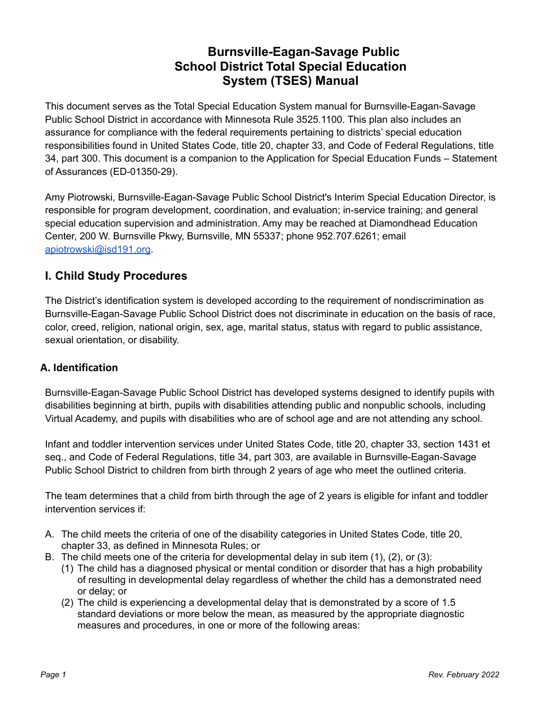## **Burnsville-Eagan-Savage Public School District Total Special Education System (TSES) Manual**

This document serves as the Total Special Education System manual for Burnsville-Eagan-Savage Public School District in accordance with Minnesota Rule 3525.1100. This plan also includes an assurance for compliance with the federal requirements pertaining to districts' special education responsibilities found in United States Code, title 20, chapter 33, and Code of Federal Regulations, title 34, part 300. This document is a companion to the Application for Special Education Funds – Statement of Assurances (ED-01350-29).

Amy Piotrowski, Burnsville-Eagan-Savage Public School District's Interim Special Education Director, is responsible for program development, coordination, and evaluation; in-service training; and general special education supervision and administration. Amy may be reached at Diamondhead Education Center, 200 W. Burnsville Pkwy, Burnsville, MN 55337; phone 952.707.6261; email [apiotrowski@isd191.org.](mailto:apiotrowski@isd191.org)

## **I. Child Study Procedures**

The District's identification system is developed according to the requirement of nondiscrimination as Burnsville-Eagan-Savage Public School District does not discriminate in education on the basis of race, color, creed, religion, national origin, sex, age, marital status, status with regard to public assistance, sexual orientation, or disability.

#### **A. Identification**

Burnsville-Eagan-Savage Public School District has developed systems designed to identify pupils with disabilities beginning at birth, pupils with disabilities attending public and nonpublic schools, including Virtual Academy, and pupils with disabilities who are of school age and are not attending any school.

Infant and toddler intervention services under United States Code, title 20, chapter 33, section 1431 et seq., and Code of Federal Regulations, title 34, part 303, are available in Burnsville-Eagan-Savage Public School District to children from birth through 2 years of age who meet the outlined criteria.

The team determines that a child from birth through the age of 2 years is eligible for infant and toddler intervention services if:

- A. The child meets the criteria of one of the disability categories in United States Code, title 20, chapter 33, as defined in Minnesota Rules; or
- B. The child meets one of the criteria for developmental delay in sub item (1), (2), or (3):
	- (1) The child has a diagnosed physical or mental condition or disorder that has a high probability of resulting in developmental delay regardless of whether the child has a demonstrated need or delay; or
	- (2) The child is experiencing a developmental delay that is demonstrated by a score of 1.5 standard deviations or more below the mean, as measured by the appropriate diagnostic measures and procedures, in one or more of the following areas: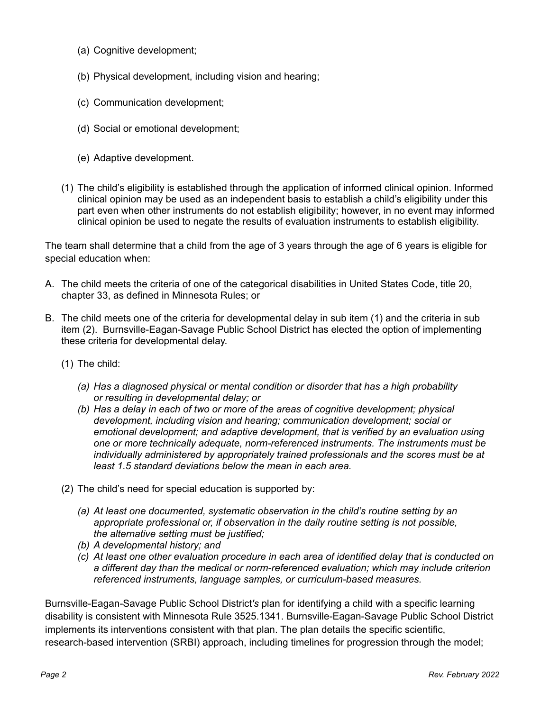- (a) Cognitive development;
- (b) Physical development, including vision and hearing;
- (c) Communication development;
- (d) Social or emotional development;
- (e) Adaptive development.
- (1) The child's eligibility is established through the application of informed clinical opinion. Informed clinical opinion may be used as an independent basis to establish a child's eligibility under this part even when other instruments do not establish eligibility; however, in no event may informed clinical opinion be used to negate the results of evaluation instruments to establish eligibility.

The team shall determine that a child from the age of 3 years through the age of 6 years is eligible for special education when:

- A. The child meets the criteria of one of the categorical disabilities in United States Code, title 20, chapter 33, as defined in Minnesota Rules; or
- B. The child meets one of the criteria for developmental delay in sub item (1) and the criteria in sub item (2). Burnsville-Eagan-Savage Public School District has elected the option of implementing these criteria for developmental delay.
	- (1) The child:
		- *(a) Has a diagnosed physical or mental condition or disorder that has a high probability or resulting in developmental delay; or*
		- *(b) Has a delay in each of two or more of the areas of cognitive development; physical development, including vision and hearing; communication development; social or emotional development; and adaptive development, that is verified by an evaluation using one or more technically adequate, norm-referenced instruments. The instruments must be individually administered by appropriately trained professionals and the scores must be at least 1.5 standard deviations below the mean in each area.*
	- (2) The child's need for special education is supported by:
		- *(a) At least one documented, systematic observation in the child's routine setting by an appropriate professional or, if observation in the daily routine setting is not possible, the alternative setting must be justified;*
		- *(b) A developmental history; and*
		- *(c) At least one other evaluation procedure in each area of identified delay that is conducted on a different day than the medical or norm-referenced evaluation; which may include criterion referenced instruments, language samples, or curriculum-based measures.*

Burnsville-Eagan-Savage Public School District*'s* plan for identifying a child with a specific learning disability is consistent with Minnesota Rule 3525.1341. Burnsville-Eagan-Savage Public School District implements its interventions consistent with that plan. The plan details the specific scientific, research-based intervention (SRBI) approach, including timelines for progression through the model;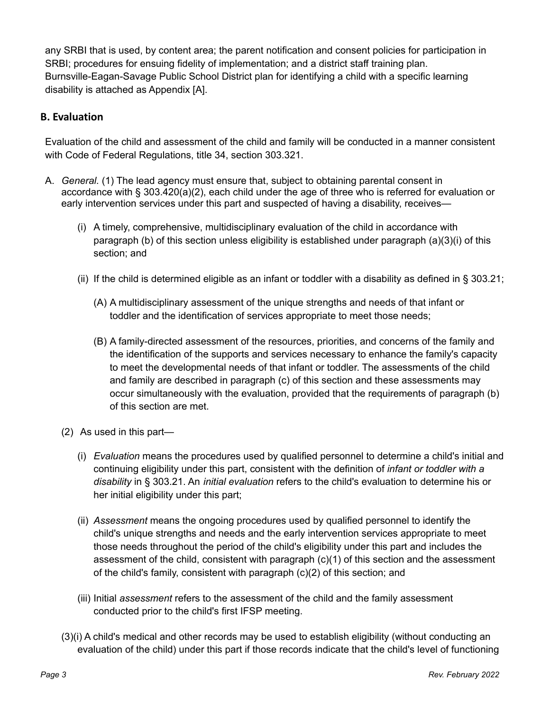any SRBI that is used, by content area; the parent notification and consent policies for participation in SRBI; procedures for ensuing fidelity of implementation; and a district staff training plan. Burnsville-Eagan-Savage Public School District plan for identifying a child with a specific learning disability is attached as Appendix [A].

### **B. Evaluation**

Evaluation of the child and assessment of the child and family will be conducted in a manner consistent with Code of Federal Regulations, title 34, section 303.321.

- A. *General.* (1) The lead agency must ensure that, subject to obtaining parental consent in accordance with § 303.420(a)(2), each child under the age of three who is referred for evaluation or early intervention services under this part and suspected of having a disability, receives—
	- (i) A timely, comprehensive, multidisciplinary evaluation of the child in accordance with paragraph (b) of this section unless eligibility is established under paragraph (a)(3)(i) of this section; and
	- (ii) If the child is determined eligible as an infant or toddler with a disability as defined in  $\S$  303.21;
		- (A) A multidisciplinary assessment of the unique strengths and needs of that infant or toddler and the identification of services appropriate to meet those needs;
		- (B) A family-directed assessment of the resources, priorities, and concerns of the family and the identification of the supports and services necessary to enhance the family's capacity to meet the developmental needs of that infant or toddler. The assessments of the child and family are described in paragraph (c) of this section and these assessments may occur simultaneously with the evaluation, provided that the requirements of paragraph (b) of this section are met.
	- (2) As used in this part—
		- (i) *Evaluation* means the procedures used by qualified personnel to determine a child's initial and continuing eligibility under this part, consistent with the definition of *infant or toddler with a disability* in § 303.21. An *initial evaluation* refers to the child's evaluation to determine his or her initial eligibility under this part;
		- (ii) *Assessment* means the ongoing procedures used by qualified personnel to identify the child's unique strengths and needs and the early intervention services appropriate to meet those needs throughout the period of the child's eligibility under this part and includes the assessment of the child, consistent with paragraph (c)(1) of this section and the assessment of the child's family, consistent with paragraph (c)(2) of this section; and
		- (iii) Initial *assessment* refers to the assessment of the child and the family assessment conducted prior to the child's first IFSP meeting.
	- (3)(i) A child's medical and other records may be used to establish eligibility (without conducting an evaluation of the child) under this part if those records indicate that the child's level of functioning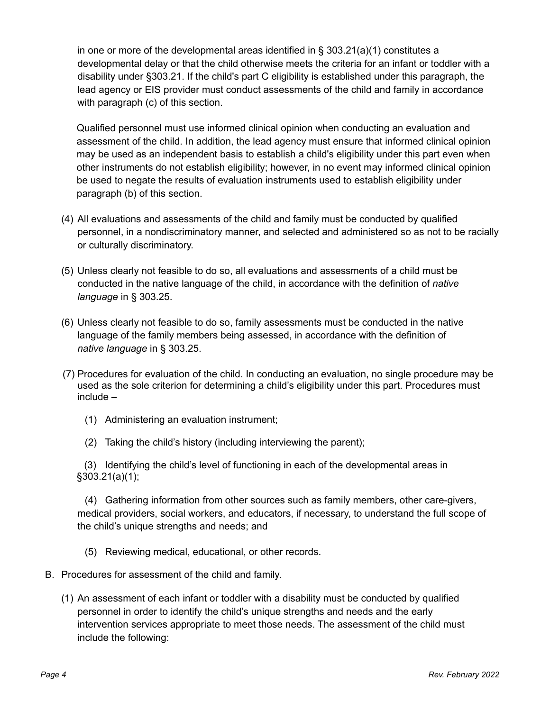in one or more of the developmental areas identified in  $\S$  303.21(a)(1) constitutes a developmental delay or that the child otherwise meets the criteria for an infant or toddler with a disability under §303.21. If the child's part C eligibility is established under this paragraph, the lead agency or EIS provider must conduct assessments of the child and family in accordance with paragraph (c) of this section.

Qualified personnel must use informed clinical opinion when conducting an evaluation and assessment of the child. In addition, the lead agency must ensure that informed clinical opinion may be used as an independent basis to establish a child's eligibility under this part even when other instruments do not establish eligibility; however, in no event may informed clinical opinion be used to negate the results of evaluation instruments used to establish eligibility under paragraph (b) of this section.

- (4) All evaluations and assessments of the child and family must be conducted by qualified personnel, in a nondiscriminatory manner, and selected and administered so as not to be racially or culturally discriminatory.
- (5) Unless clearly not feasible to do so, all evaluations and assessments of a child must be conducted in the native language of the child, in accordance with the definition of *native language* in § 303.25.
- (6) Unless clearly not feasible to do so, family assessments must be conducted in the native language of the family members being assessed, in accordance with the definition of *native language* in § 303.25.
- (7) Procedures for evaluation of the child. In conducting an evaluation, no single procedure may be used as the sole criterion for determining a child's eligibility under this part. Procedures must include –
	- (1) Administering an evaluation instrument;
	- (2) Taking the child's history (including interviewing the parent);

(3) Identifying the child's level of functioning in each of the developmental areas in §303.21(a)(1);

(4) Gathering information from other sources such as family members, other care-givers, medical providers, social workers, and educators, if necessary, to understand the full scope of the child's unique strengths and needs; and

- (5) Reviewing medical, educational, or other records.
- B. Procedures for assessment of the child and family.
	- (1) An assessment of each infant or toddler with a disability must be conducted by qualified personnel in order to identify the child's unique strengths and needs and the early intervention services appropriate to meet those needs. The assessment of the child must include the following: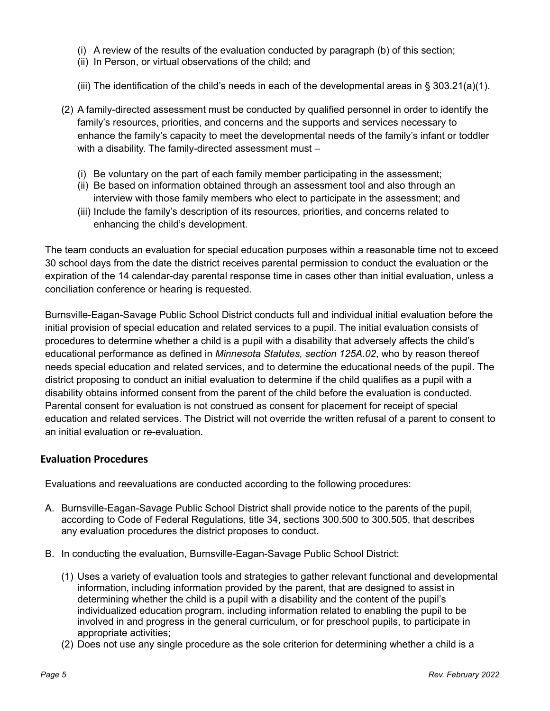- (i) A review of the results of the evaluation conducted by paragraph (b) of this section;
- (ii) In Person, or virtual observations of the child; and
- (iii) The identification of the child's needs in each of the developmental areas in  $\S$  303.21(a)(1).
- (2) A family-directed assessment must be conducted by qualified personnel in order to identify the family's resources, priorities, and concerns and the supports and services necessary to enhance the family's capacity to meet the developmental needs of the family's infant or toddler with a disability. The family-directed assessment must -
	- (i) Be voluntary on the part of each family member participating in the assessment;
	- (ii) Be based on information obtained through an assessment tool and also through an interview with those family members who elect to participate in the assessment; and
	- (iii) Include the family's description of its resources, priorities, and concerns related to enhancing the child's development.

The team conducts an evaluation for special education purposes within a reasonable time not to exceed 30 school days from the date the district receives parental permission to conduct the evaluation or the expiration of the 14 calendar-day parental response time in cases other than initial evaluation, unless a conciliation conference or hearing is requested.

Burnsville-Eagan-Savage Public School District conducts full and individual initial evaluation before the initial provision of special education and related services to a pupil. The initial evaluation consists of procedures to determine whether a child is a pupil with a disability that adversely affects the child's educational performance as defined in *Minnesota Statutes, section 125A.02*, who by reason thereof needs special education and related services, and to determine the educational needs of the pupil. The district proposing to conduct an initial evaluation to determine if the child qualifies as a pupil with a disability obtains informed consent from the parent of the child before the evaluation is conducted. Parental consent for evaluation is not construed as consent for placement for receipt of special education and related services. The District will not override the written refusal of a parent to consent to an initial evaluation or re-evaluation.

#### **Evaluation Procedures**

Evaluations and reevaluations are conducted according to the following procedures:

- A. Burnsville-Eagan-Savage Public School District shall provide notice to the parents of the pupil, according to Code of Federal Regulations, title 34, sections 300.500 to 300.505, that describes any evaluation procedures the district proposes to conduct.
- B. In conducting the evaluation, Burnsville-Eagan-Savage Public School District:
	- (1) Uses a variety of evaluation tools and strategies to gather relevant functional and developmental information, including information provided by the parent, that are designed to assist in determining whether the child is a pupil with a disability and the content of the pupil's individualized education program, including information related to enabling the pupil to be involved in and progress in the general curriculum, or for preschool pupils, to participate in appropriate activities;
	- (2) Does not use any single procedure as the sole criterion for determining whether a child is a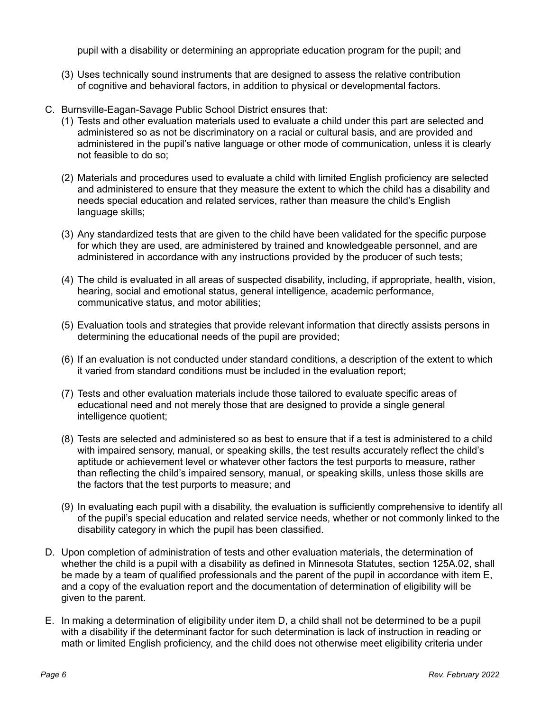pupil with a disability or determining an appropriate education program for the pupil; and

- (3) Uses technically sound instruments that are designed to assess the relative contribution of cognitive and behavioral factors, in addition to physical or developmental factors.
- C. Burnsville-Eagan-Savage Public School District ensures that:
	- (1) Tests and other evaluation materials used to evaluate a child under this part are selected and administered so as not be discriminatory on a racial or cultural basis, and are provided and administered in the pupil's native language or other mode of communication, unless it is clearly not feasible to do so;
	- (2) Materials and procedures used to evaluate a child with limited English proficiency are selected and administered to ensure that they measure the extent to which the child has a disability and needs special education and related services, rather than measure the child's English language skills;
	- (3) Any standardized tests that are given to the child have been validated for the specific purpose for which they are used, are administered by trained and knowledgeable personnel, and are administered in accordance with any instructions provided by the producer of such tests;
	- (4) The child is evaluated in all areas of suspected disability, including, if appropriate, health, vision, hearing, social and emotional status, general intelligence, academic performance, communicative status, and motor abilities;
	- (5) Evaluation tools and strategies that provide relevant information that directly assists persons in determining the educational needs of the pupil are provided;
	- (6) If an evaluation is not conducted under standard conditions, a description of the extent to which it varied from standard conditions must be included in the evaluation report;
	- (7) Tests and other evaluation materials include those tailored to evaluate specific areas of educational need and not merely those that are designed to provide a single general intelligence quotient;
	- (8) Tests are selected and administered so as best to ensure that if a test is administered to a child with impaired sensory, manual, or speaking skills, the test results accurately reflect the child's aptitude or achievement level or whatever other factors the test purports to measure, rather than reflecting the child's impaired sensory, manual, or speaking skills, unless those skills are the factors that the test purports to measure; and
	- (9) In evaluating each pupil with a disability, the evaluation is sufficiently comprehensive to identify all of the pupil's special education and related service needs, whether or not commonly linked to the disability category in which the pupil has been classified.
- D. Upon completion of administration of tests and other evaluation materials, the determination of whether the child is a pupil with a disability as defined in Minnesota Statutes, section 125A.02, shall be made by a team of qualified professionals and the parent of the pupil in accordance with item E, and a copy of the evaluation report and the documentation of determination of eligibility will be given to the parent.
- E. In making a determination of eligibility under item D, a child shall not be determined to be a pupil with a disability if the determinant factor for such determination is lack of instruction in reading or math or limited English proficiency, and the child does not otherwise meet eligibility criteria under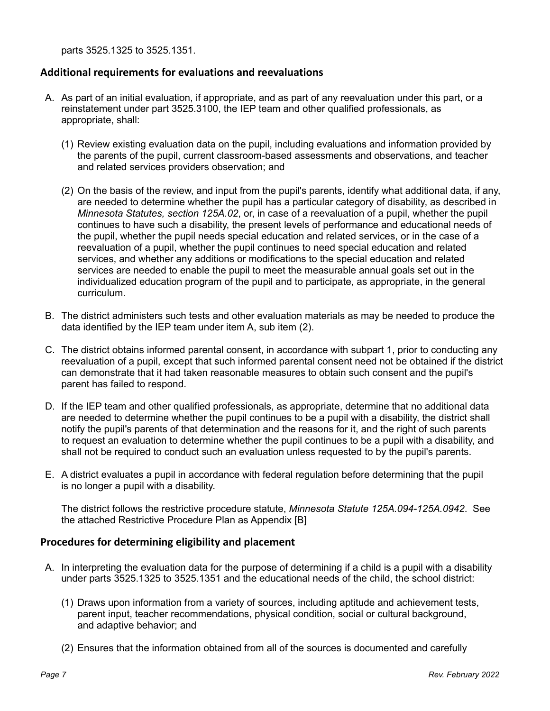parts 3525.1325 to 3525.1351.

#### **Additional requirements for evaluations and reevaluations**

- A. As part of an initial evaluation, if appropriate, and as part of any reevaluation under this part, or a reinstatement under part 3525.3100, the IEP team and other qualified professionals, as appropriate, shall:
	- (1) Review existing evaluation data on the pupil, including evaluations and information provided by the parents of the pupil, current classroom-based assessments and observations, and teacher and related services providers observation; and
	- (2) On the basis of the review, and input from the pupil's parents, identify what additional data, if any, are needed to determine whether the pupil has a particular category of disability, as described in *Minnesota Statutes, section 125A.02*, or, in case of a reevaluation of a pupil, whether the pupil continues to have such a disability, the present levels of performance and educational needs of the pupil, whether the pupil needs special education and related services, or in the case of a reevaluation of a pupil, whether the pupil continues to need special education and related services, and whether any additions or modifications to the special education and related services are needed to enable the pupil to meet the measurable annual goals set out in the individualized education program of the pupil and to participate, as appropriate, in the general curriculum.
- B. The district administers such tests and other evaluation materials as may be needed to produce the data identified by the IEP team under item A, sub item (2).
- C. The district obtains informed parental consent, in accordance with subpart 1, prior to conducting any reevaluation of a pupil, except that such informed parental consent need not be obtained if the district can demonstrate that it had taken reasonable measures to obtain such consent and the pupil's parent has failed to respond.
- D. If the IEP team and other qualified professionals, as appropriate, determine that no additional data are needed to determine whether the pupil continues to be a pupil with a disability, the district shall notify the pupil's parents of that determination and the reasons for it, and the right of such parents to request an evaluation to determine whether the pupil continues to be a pupil with a disability, and shall not be required to conduct such an evaluation unless requested to by the pupil's parents.
- E. A district evaluates a pupil in accordance with federal regulation before determining that the pupil is no longer a pupil with a disability.

The district follows the restrictive procedure statute, *Minnesota Statute 125A.094-125A.0942*. See the attached Restrictive Procedure Plan as Appendix [B]

#### **Procedures for determining eligibility and placement**

- A. In interpreting the evaluation data for the purpose of determining if a child is a pupil with a disability under parts 3525.1325 to 3525.1351 and the educational needs of the child, the school district:
	- (1) Draws upon information from a variety of sources, including aptitude and achievement tests, parent input, teacher recommendations, physical condition, social or cultural background. and adaptive behavior; and
	- (2) Ensures that the information obtained from all of the sources is documented and carefully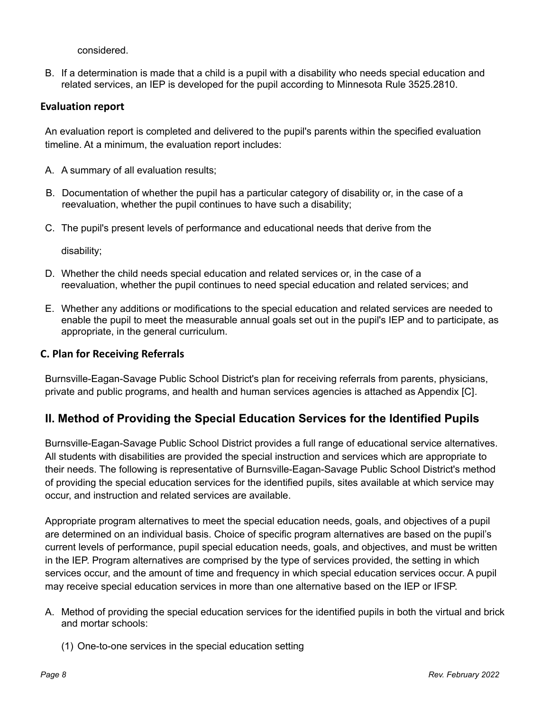considered.

B. If a determination is made that a child is a pupil with a disability who needs special education and related services, an IEP is developed for the pupil according to Minnesota Rule 3525.2810.

#### **Evaluation report**

An evaluation report is completed and delivered to the pupil's parents within the specified evaluation timeline. At a minimum, the evaluation report includes:

- A. A summary of all evaluation results;
- B. Documentation of whether the pupil has a particular category of disability or, in the case of a reevaluation, whether the pupil continues to have such a disability;
- C. The pupil's present levels of performance and educational needs that derive from the

disability;

- D. Whether the child needs special education and related services or, in the case of a reevaluation, whether the pupil continues to need special education and related services; and
- E. Whether any additions or modifications to the special education and related services are needed to enable the pupil to meet the measurable annual goals set out in the pupil's IEP and to participate, as appropriate, in the general curriculum.

#### **C. Plan for Receiving Referrals**

Burnsville-Eagan-Savage Public School District's plan for receiving referrals from parents, physicians, private and public programs, and health and human services agencies is attached as Appendix [C]*.*

### **II. Method of Providing the Special Education Services for the Identified Pupils**

Burnsville-Eagan-Savage Public School District provides a full range of educational service alternatives. All students with disabilities are provided the special instruction and services which are appropriate to their needs. The following is representative of Burnsville-Eagan-Savage Public School District's method of providing the special education services for the identified pupils, sites available at which service may occur, and instruction and related services are available.

Appropriate program alternatives to meet the special education needs, goals, and objectives of a pupil are determined on an individual basis. Choice of specific program alternatives are based on the pupil's current levels of performance, pupil special education needs, goals, and objectives, and must be written in the IEP. Program alternatives are comprised by the type of services provided, the setting in which services occur, and the amount of time and frequency in which special education services occur. A pupil may receive special education services in more than one alternative based on the IEP or IFSP.

- A. Method of providing the special education services for the identified pupils in both the virtual and brick and mortar schools:
	- (1) One-to-one services in the special education setting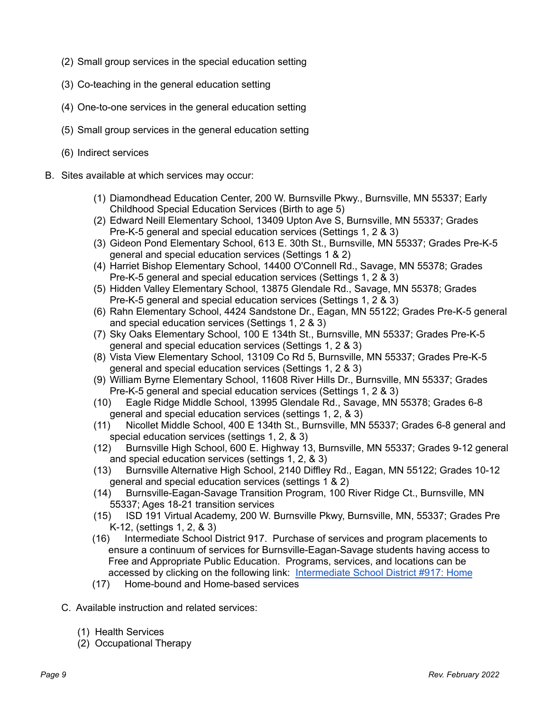- (2) Small group services in the special education setting
- (3) Co-teaching in the general education setting
- (4) One-to-one services in the general education setting
- (5) Small group services in the general education setting
- (6) Indirect services
- B. Sites available at which services may occur:
	- (1) Diamondhead Education Center, 200 W. Burnsville Pkwy., Burnsville, MN 55337; Early Childhood Special Education Services (Birth to age 5)
	- (2) Edward Neill Elementary School, 13409 Upton Ave S, Burnsville, MN 55337; Grades Pre-K-5 general and special education services (Settings 1, 2 & 3)
	- (3) Gideon Pond Elementary School, 613 E. 30th St., Burnsville, MN 55337; Grades Pre-K-5 general and special education services (Settings 1 & 2)
	- (4) Harriet Bishop Elementary School, 14400 O'Connell Rd., Savage, MN 55378; Grades Pre-K-5 general and special education services (Settings 1, 2 & 3)
	- (5) Hidden Valley Elementary School, 13875 Glendale Rd., Savage, MN 55378; Grades Pre-K-5 general and special education services (Settings 1, 2 & 3)
	- (6) Rahn Elementary School, 4424 Sandstone Dr., Eagan, MN 55122; Grades Pre-K-5 general and special education services (Settings 1, 2 & 3)
	- (7) Sky Oaks Elementary School, 100 E 134th St., Burnsville, MN 55337; Grades Pre-K-5 general and special education services (Settings 1, 2 & 3)
	- (8) Vista View Elementary School, 13109 Co Rd 5, Burnsville, MN 55337; Grades Pre-K-5 general and special education services (Settings 1, 2 & 3)
	- (9) William Byrne Elementary School, 11608 River Hills Dr., Burnsville, MN 55337; Grades Pre-K-5 general and special education services (Settings 1, 2 & 3)
	- (10) Eagle Ridge Middle School, 13995 Glendale Rd., Savage, MN 55378; Grades 6-8 general and special education services (settings 1, 2, & 3)
	- (11) Nicollet Middle School, 400 E 134th St., Burnsville, MN 55337; Grades 6-8 general and special education services (settings 1, 2, & 3)
	- (12) Burnsville High School, 600 E. Highway 13, Burnsville, MN 55337; Grades 9-12 general and special education services (settings 1, 2, & 3)
	- (13) Burnsville Alternative High School, 2140 Diffley Rd., Eagan, MN 55122; Grades 10-12 general and special education services (settings 1 & 2)
	- (14) Burnsville-Eagan-Savage Transition Program, 100 River Ridge Ct., Burnsville, MN 55337; Ages 18-21 transition services
	- (15) ISD 191 Virtual Academy, 200 W. Burnsville Pkwy, Burnsville, MN, 55337; Grades Pre K-12, (settings 1, 2, & 3)
	- (16) Intermediate School District 917. Purchase of services and program placements to ensure a continuum of services for Burnsville-Eagan-Savage students having access to Free and Appropriate Public Education. Programs, services, and locations can be accessed by clicking on the following link: [Intermediate](http://www.isd917.k12.mn.us/) School District #917: Home
	- (17) Home-bound and Home-based services
	- C. Available instruction and related services:
		- (1) Health Services
		- (2) Occupational Therapy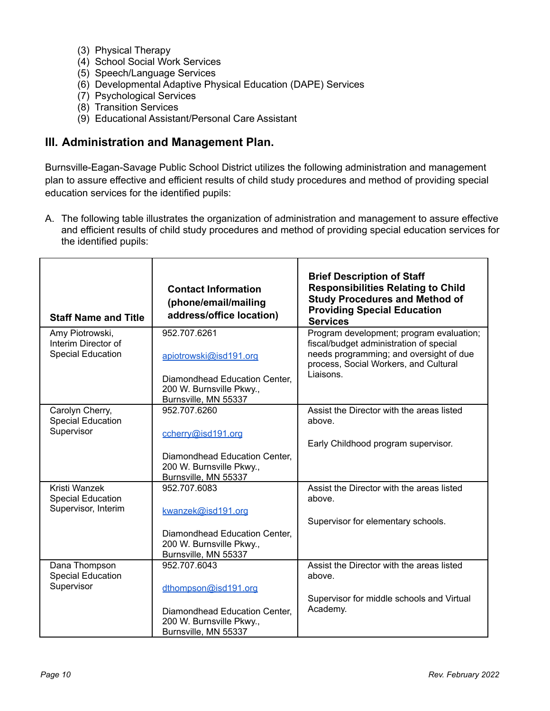- (3) Physical Therapy
- (4) School Social Work Services
- (5) Speech/Language Services
- (6) Developmental Adaptive Physical Education (DAPE) Services
- (7) Psychological Services
- (8) Transition Services
- (9) Educational Assistant/Personal Care Assistant

#### **III. Administration and Management Plan.**

Burnsville-Eagan-Savage Public School District utilizes the following administration and management plan to assure effective and efficient results of child study procedures and method of providing special education services for the identified pupils:

A. The following table illustrates the organization of administration and management to assure effective and efficient results of child study procedures and method of providing special education services for the identified pupils:

| <b>Staff Name and Title</b>                                        | <b>Contact Information</b><br>(phone/email/mailing<br>address/office location)                                              | <b>Brief Description of Staff</b><br><b>Responsibilities Relating to Child</b><br><b>Study Procedures and Method of</b><br><b>Providing Special Education</b><br><b>Services</b>     |  |
|--------------------------------------------------------------------|-----------------------------------------------------------------------------------------------------------------------------|--------------------------------------------------------------------------------------------------------------------------------------------------------------------------------------|--|
| Amy Piotrowski,<br>Interim Director of<br><b>Special Education</b> | 952.707.6261<br>apiotrowski@isd191.org<br>Diamondhead Education Center,<br>200 W. Burnsville Pkwy.,<br>Burnsville, MN 55337 | Program development; program evaluation;<br>fiscal/budget administration of special<br>needs programming; and oversight of due<br>process, Social Workers, and Cultural<br>Liaisons. |  |
| Carolyn Cherry,<br><b>Special Education</b><br>Supervisor          | 952.707.6260<br>ccherry@isd191.org<br>Diamondhead Education Center,<br>200 W. Burnsville Pkwy.,<br>Burnsville, MN 55337     | Assist the Director with the areas listed<br>above.<br>Early Childhood program supervisor.                                                                                           |  |
| Kristi Wanzek<br><b>Special Education</b><br>Supervisor, Interim   | 952.707.6083<br>kwanzek@isd191.org<br>Diamondhead Education Center,<br>200 W. Burnsville Pkwy.,<br>Burnsville, MN 55337     | Assist the Director with the areas listed<br>above.<br>Supervisor for elementary schools.                                                                                            |  |
| Dana Thompson<br><b>Special Education</b><br>Supervisor            | 952.707.6043<br>dthompson@isd191.org<br>Diamondhead Education Center,<br>200 W. Burnsville Pkwy.,<br>Burnsville, MN 55337   | Assist the Director with the areas listed<br>above.<br>Supervisor for middle schools and Virtual<br>Academy.                                                                         |  |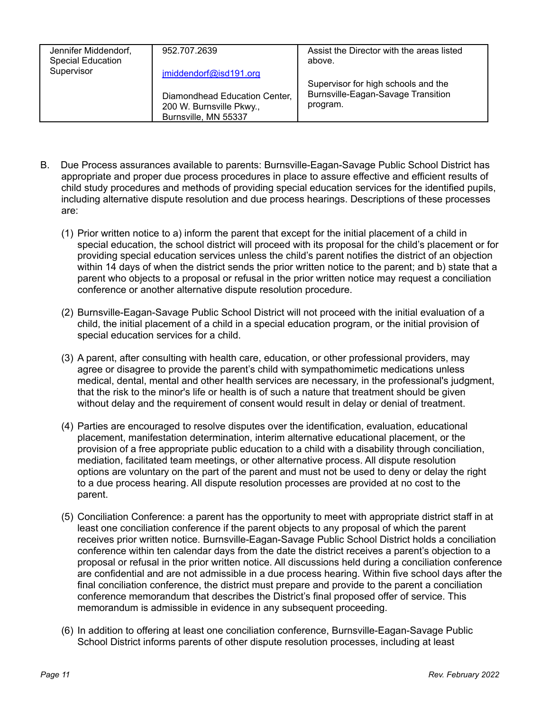| Jennifer Middendorf,<br>Special Education<br>Supervisor | 952.707.2639                                                                      | Assist the Director with the areas listed<br>above. |  |
|---------------------------------------------------------|-----------------------------------------------------------------------------------|-----------------------------------------------------|--|
|                                                         | jmiddendorf@isd191.org                                                            | Supervisor for high schools and the                 |  |
|                                                         | Diamondhead Education Center,<br>200 W. Burnsville Pkwy.,<br>Burnsville, MN 55337 | Burnsville-Eagan-Savage Transition<br>program.      |  |

- B. Due Process assurances available to parents: Burnsville-Eagan-Savage Public School District has appropriate and proper due process procedures in place to assure effective and efficient results of child study procedures and methods of providing special education services for the identified pupils, including alternative dispute resolution and due process hearings. Descriptions of these processes are:
	- (1) Prior written notice to a) inform the parent that except for the initial placement of a child in special education, the school district will proceed with its proposal for the child's placement or for providing special education services unless the child's parent notifies the district of an objection within 14 days of when the district sends the prior written notice to the parent; and b) state that a parent who objects to a proposal or refusal in the prior written notice may request a conciliation conference or another alternative dispute resolution procedure.
	- (2) Burnsville-Eagan-Savage Public School District will not proceed with the initial evaluation of a child, the initial placement of a child in a special education program, or the initial provision of special education services for a child.
	- (3) A parent, after consulting with health care, education, or other professional providers, may agree or disagree to provide the parent's child with sympathomimetic medications unless medical, dental, mental and other health services are necessary, in the professional's judgment, that the risk to the minor's life or health is of such a nature that treatment should be given without delay and the requirement of consent would result in delay or denial of treatment.
	- (4) Parties are encouraged to resolve disputes over the identification, evaluation, educational placement, manifestation determination, interim alternative educational placement, or the provision of a free appropriate public education to a child with a disability through conciliation, mediation, facilitated team meetings, or other alternative process. All dispute resolution options are voluntary on the part of the parent and must not be used to deny or delay the right to a due process hearing. All dispute resolution processes are provided at no cost to the parent.
	- (5) Conciliation Conference: a parent has the opportunity to meet with appropriate district staff in at least one conciliation conference if the parent objects to any proposal of which the parent receives prior written notice. Burnsville-Eagan-Savage Public School District holds a conciliation conference within ten calendar days from the date the district receives a parent's objection to a proposal or refusal in the prior written notice. All discussions held during a conciliation conference are confidential and are not admissible in a due process hearing. Within five school days after the final conciliation conference, the district must prepare and provide to the parent a conciliation conference memorandum that describes the District's final proposed offer of service. This memorandum is admissible in evidence in any subsequent proceeding.
	- (6) In addition to offering at least one conciliation conference, Burnsville-Eagan-Savage Public School District informs parents of other dispute resolution processes, including at least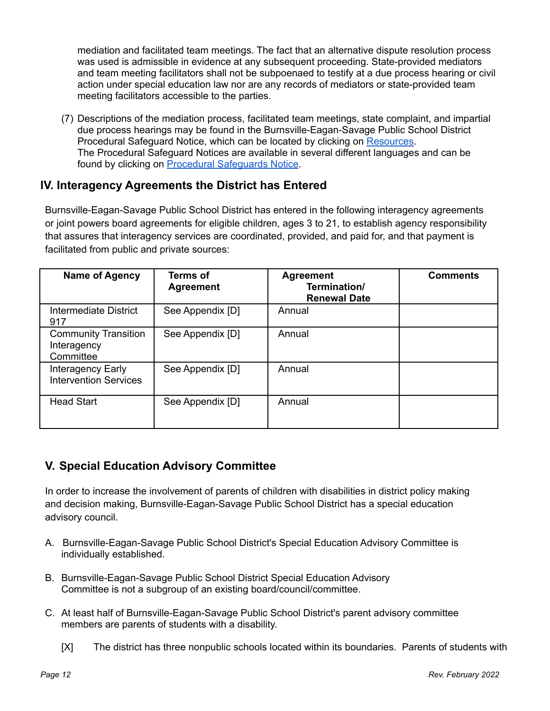mediation and facilitated team meetings. The fact that an alternative dispute resolution process was used is admissible in evidence at any subsequent proceeding. State-provided mediators and team meeting facilitators shall not be subpoenaed to testify at a due process hearing or civil action under special education law nor are any records of mediators or state-provided team meeting facilitators accessible to the parties.

(7) Descriptions of the mediation process, facilitated team meetings, state complaint, and impartial due process hearings may be found in the Burnsville-Eagan-Savage Public School District Procedural Safeguard Notice, which can be located by clicking on [Resources.](http://www.isd191.org/learning/special-education/resources) The Procedural Safeguard Notices are available in several different languages and can be found by clicking on Procedural [Safeguards](https://education.mn.gov/MDE/dse/sped/proc/) Notice.

## **IV. Interagency Agreements the District has Entered**

Burnsville-Eagan-Savage Public School District has entered in the following interagency agreements or joint powers board agreements for eligible children, ages 3 to 21, to establish agency responsibility that assures that interagency services are coordinated, provided, and paid for, and that payment is facilitated from public and private sources:

| <b>Name of Agency</b>                                   | <b>Terms of</b><br><b>Agreement</b> | <b>Agreement</b><br>Termination/<br><b>Renewal Date</b> | <b>Comments</b> |
|---------------------------------------------------------|-------------------------------------|---------------------------------------------------------|-----------------|
| Intermediate District<br>917                            | See Appendix [D]                    | Annual                                                  |                 |
| <b>Community Transition</b><br>Interagency<br>Committee | See Appendix [D]                    | Annual                                                  |                 |
| Interagency Early<br><b>Intervention Services</b>       | See Appendix [D]                    | Annual                                                  |                 |
| <b>Head Start</b>                                       | See Appendix [D]                    | Annual                                                  |                 |

## **V. Special Education Advisory Committee**

In order to increase the involvement of parents of children with disabilities in district policy making and decision making, Burnsville-Eagan-Savage Public School District has a special education advisory council.

- A. Burnsville-Eagan-Savage Public School District's Special Education Advisory Committee is individually established.
- B. Burnsville-Eagan-Savage Public School District Special Education Advisory Committee is not a subgroup of an existing board/council/committee.
- C. At least half of Burnsville-Eagan-Savage Public School District's parent advisory committee members are parents of students with a disability.
	- [X] The district has three nonpublic schools located within its boundaries. Parents of students with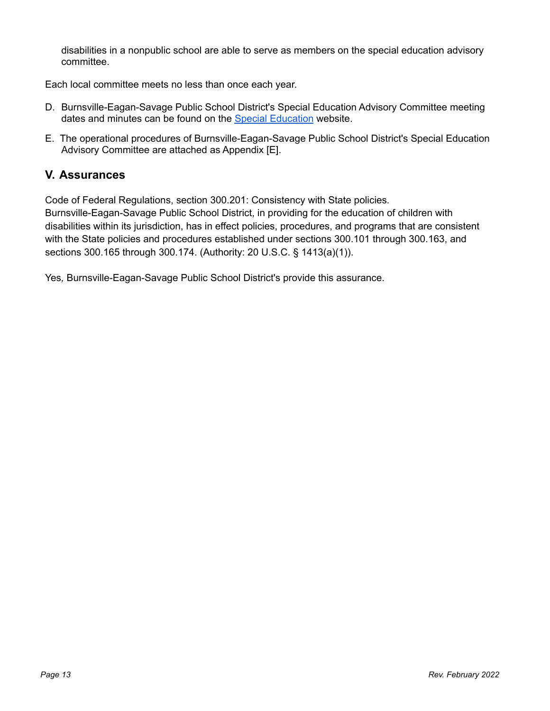disabilities in a nonpublic school are able to serve as members on the special education advisory committee.

Each local committee meets no less than once each year.

- D. Burnsville-Eagan-Savage Public School District's Special Education Advisory Committee meeting dates and minutes can be found on the Special [Education](https://www.isd191.org/learning/special-education) website.
- E. The operational procedures of Burnsville-Eagan-Savage Public School District's Special Education Advisory Committee are attached as Appendix [E].

### **V. Assurances**

Code of Federal Regulations, section 300.201: Consistency with State policies*.*

Burnsville-Eagan-Savage Public School District, in providing for the education of children with disabilities within its jurisdiction, has in effect policies, procedures, and programs that are consistent with the State policies and procedures established under sections 300.101 through 300.163, and sections 300.165 through 300.174. (Authority: 20 U.S.C. § 1413(a)(1)).

Yes*,* Burnsville-Eagan-Savage Public School District's provide this assurance.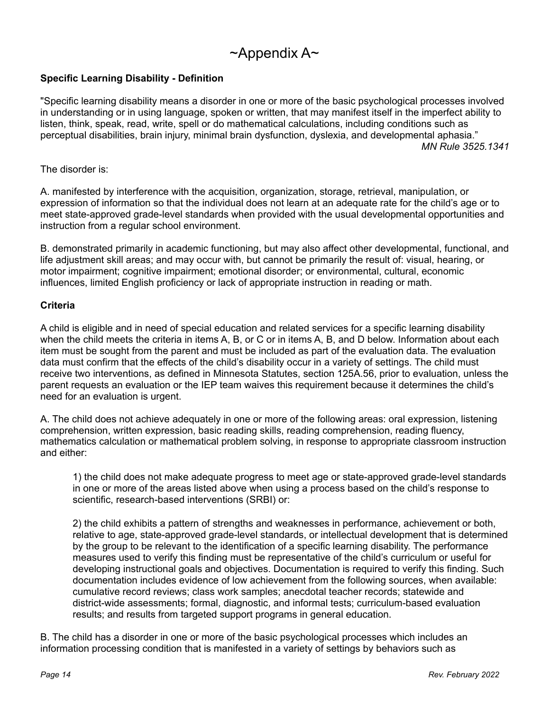## $\sim$ Appendix A $\sim$

#### **Specific Learning Disability - Definition**

"Specific learning disability means a disorder in one or more of the basic psychological processes involved in understanding or in using language, spoken or written, that may manifest itself in the imperfect ability to listen, think, speak, read, write, spell or do mathematical calculations, including conditions such as perceptual disabilities, brain injury, minimal brain dysfunction, dyslexia, and developmental aphasia." *MN Rule 3525.1341*

The disorder is:

A. manifested by interference with the acquisition, organization, storage, retrieval, manipulation, or expression of information so that the individual does not learn at an adequate rate for the child's age or to meet state-approved grade-level standards when provided with the usual developmental opportunities and instruction from a regular school environment.

B. demonstrated primarily in academic functioning, but may also affect other developmental, functional, and life adjustment skill areas; and may occur with, but cannot be primarily the result of: visual, hearing, or motor impairment; cognitive impairment; emotional disorder; or environmental, cultural, economic influences, limited English proficiency or lack of appropriate instruction in reading or math.

#### **Criteria**

A child is eligible and in need of special education and related services for a specific learning disability when the child meets the criteria in items A, B, or C or in items A, B, and D below. Information about each item must be sought from the parent and must be included as part of the evaluation data. The evaluation data must confirm that the effects of the child's disability occur in a variety of settings. The child must receive two interventions, as defined in Minnesota Statutes, section 125A.56, prior to evaluation, unless the parent requests an evaluation or the IEP team waives this requirement because it determines the child's need for an evaluation is urgent.

A. The child does not achieve adequately in one or more of the following areas: oral expression, listening comprehension, written expression, basic reading skills, reading comprehension, reading fluency, mathematics calculation or mathematical problem solving, in response to appropriate classroom instruction and either:

1) the child does not make adequate progress to meet age or state-approved grade-level standards in one or more of the areas listed above when using a process based on the child's response to scientific, research-based interventions (SRBI) or:

2) the child exhibits a pattern of strengths and weaknesses in performance, achievement or both, relative to age, state-approved grade-level standards, or intellectual development that is determined by the group to be relevant to the identification of a specific learning disability. The performance measures used to verify this finding must be representative of the child's curriculum or useful for developing instructional goals and objectives. Documentation is required to verify this finding. Such documentation includes evidence of low achievement from the following sources, when available: cumulative record reviews; class work samples; anecdotal teacher records; statewide and district-wide assessments; formal, diagnostic, and informal tests; curriculum-based evaluation results; and results from targeted support programs in general education.

B. The child has a disorder in one or more of the basic psychological processes which includes an information processing condition that is manifested in a variety of settings by behaviors such as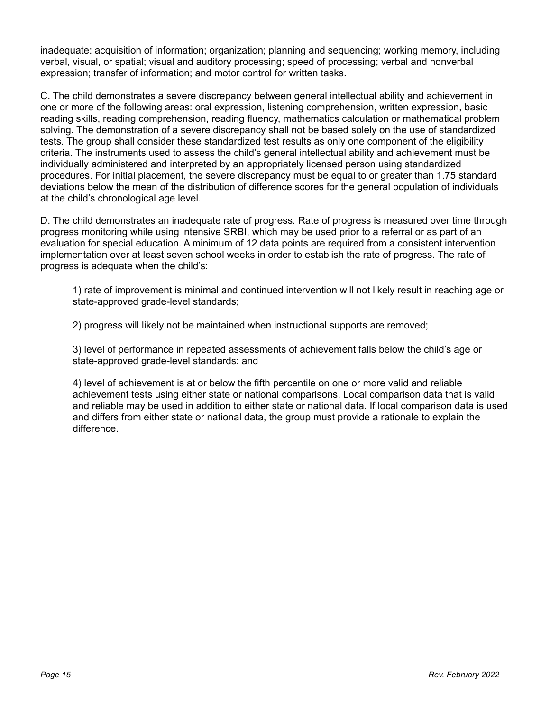inadequate: acquisition of information; organization; planning and sequencing; working memory, including verbal, visual, or spatial; visual and auditory processing; speed of processing; verbal and nonverbal expression; transfer of information; and motor control for written tasks.

C. The child demonstrates a severe discrepancy between general intellectual ability and achievement in one or more of the following areas: oral expression, listening comprehension, written expression, basic reading skills, reading comprehension, reading fluency, mathematics calculation or mathematical problem solving. The demonstration of a severe discrepancy shall not be based solely on the use of standardized tests. The group shall consider these standardized test results as only one component of the eligibility criteria. The instruments used to assess the child's general intellectual ability and achievement must be individually administered and interpreted by an appropriately licensed person using standardized procedures. For initial placement, the severe discrepancy must be equal to or greater than 1.75 standard deviations below the mean of the distribution of difference scores for the general population of individuals at the child's chronological age level.

D. The child demonstrates an inadequate rate of progress. Rate of progress is measured over time through progress monitoring while using intensive SRBI, which may be used prior to a referral or as part of an evaluation for special education. A minimum of 12 data points are required from a consistent intervention implementation over at least seven school weeks in order to establish the rate of progress. The rate of progress is adequate when the child's:

1) rate of improvement is minimal and continued intervention will not likely result in reaching age or state-approved grade-level standards;

2) progress will likely not be maintained when instructional supports are removed;

3) level of performance in repeated assessments of achievement falls below the child's age or state-approved grade-level standards; and

4) level of achievement is at or below the fifth percentile on one or more valid and reliable achievement tests using either state or national comparisons. Local comparison data that is valid and reliable may be used in addition to either state or national data. If local comparison data is used and differs from either state or national data, the group must provide a rationale to explain the difference.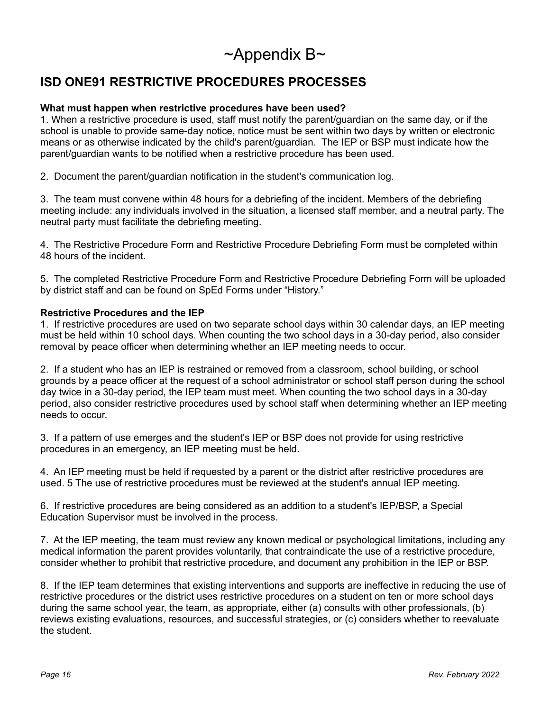# $\sim$ Appendix B $\sim$

## **ISD ONE91 RESTRICTIVE PROCEDURES PROCESSES**

#### **What must happen when restrictive procedures have been used?**

1. When a restrictive procedure is used, staff must notify the parent/guardian on the same day, or if the school is unable to provide same-day notice, notice must be sent within two days by written or electronic means or as otherwise indicated by the child's parent/guardian. The IEP or BSP must indicate how the parent/guardian wants to be notified when a restrictive procedure has been used.

2. Document the parent/guardian notification in the student's communication log.

3. The team must convene within 48 hours for a debriefing of the incident. Members of the debriefing meeting include: any individuals involved in the situation, a licensed staff member, and a neutral party. The neutral party must facilitate the debriefing meeting.

4. The Restrictive Procedure Form and Restrictive Procedure Debriefing Form must be completed within 48 hours of the incident.

5. The completed Restrictive Procedure Form and Restrictive Procedure Debriefing Form will be uploaded by district staff and can be found on SpEd Forms under "History."

#### **Restrictive Procedures and the IEP**

1. If restrictive procedures are used on two separate school days within 30 calendar days, an IEP meeting must be held within 10 school days. When counting the two school days in a 30-day period, also consider removal by peace officer when determining whether an IEP meeting needs to occur.

2. If a student who has an IEP is restrained or removed from a classroom, school building, or school grounds by a peace officer at the request of a school administrator or school staff person during the school day twice in a 30-day period, the IEP team must meet. When counting the two school days in a 30-day period, also consider restrictive procedures used by school staff when determining whether an IEP meeting needs to occur.

3. If a pattern of use emerges and the student's IEP or BSP does not provide for using restrictive procedures in an emergency, an IEP meeting must be held.

4. An IEP meeting must be held if requested by a parent or the district after restrictive procedures are used. 5 The use of restrictive procedures must be reviewed at the student's annual IEP meeting.

6. If restrictive procedures are being considered as an addition to a student's IEP/BSP, a Special Education Supervisor must be involved in the process.

7. At the IEP meeting, the team must review any known medical or psychological limitations, including any medical information the parent provides voluntarily, that contraindicate the use of a restrictive procedure, consider whether to prohibit that restrictive procedure, and document any prohibition in the IEP or BSP.

8. If the IEP team determines that existing interventions and supports are ineffective in reducing the use of restrictive procedures or the district uses restrictive procedures on a student on ten or more school days during the same school year, the team, as appropriate, either (a) consults with other professionals, (b) reviews existing evaluations, resources, and successful strategies, or (c) considers whether to reevaluate the student.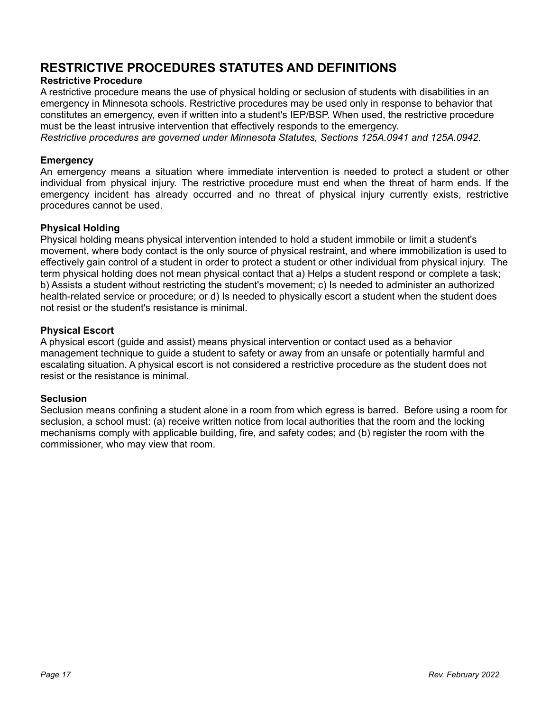## **RESTRICTIVE PROCEDURES STATUTES AND DEFINITIONS**

#### **Restrictive Procedure**

A restrictive procedure means the use of physical holding or seclusion of students with disabilities in an emergency in Minnesota schools. Restrictive procedures may be used only in response to behavior that constitutes an emergency, even if written into a student's IEP/BSP. When used, the restrictive procedure must be the least intrusive intervention that effectively responds to the emergency.

*Restrictive procedures are governed under Minnesota Statutes, Sections 125A.0941 and 125A.0942.*

#### **Emergency**

An emergency means a situation where immediate intervention is needed to protect a student or other individual from physical injury. The restrictive procedure must end when the threat of harm ends. If the emergency incident has already occurred and no threat of physical injury currently exists, restrictive procedures cannot be used.

#### **Physical Holding**

Physical holding means physical intervention intended to hold a student immobile or limit a student's movement, where body contact is the only source of physical restraint, and where immobilization is used to effectively gain control of a student in order to protect a student or other individual from physical injury. The term physical holding does not mean physical contact that a) Helps a student respond or complete a task; b) Assists a student without restricting the student's movement; c) Is needed to administer an authorized health-related service or procedure; or d) Is needed to physically escort a student when the student does not resist or the student's resistance is minimal.

#### **Physical Escort**

A physical escort (guide and assist) means physical intervention or contact used as a behavior management technique to guide a student to safety or away from an unsafe or potentially harmful and escalating situation. A physical escort is not considered a restrictive procedure as the student does not resist or the resistance is minimal.

#### **Seclusion**

Seclusion means confining a student alone in a room from which egress is barred. Before using a room for seclusion, a school must: (a) receive written notice from local authorities that the room and the locking mechanisms comply with applicable building, fire, and safety codes; and (b) register the room with the commissioner, who may view that room.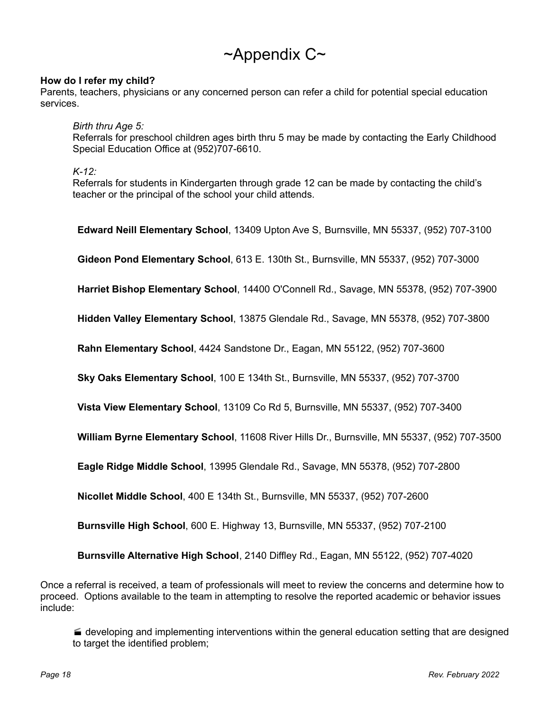# $\sim$ Appendix C $\sim$

#### **How do I refer my child?**

Parents, teachers, physicians or any concerned person can refer a child for potential special education services.

*Birth thru Age 5:*

Referrals for preschool children ages birth thru 5 may be made by contacting the Early Childhood Special Education Office at (952)707-6610.

*K-12:*

Referrals for students in Kindergarten through grade 12 can be made by contacting the child's teacher or the principal of the school your child attends.

**Edward Neill Elementary School**, 13409 Upton Ave S, Burnsville, MN 55337, (952) 707-3100 **Gideon Pond Elementary School**, 613 E. 130th St., Burnsville, MN 55337, (952) 707-3000 **Harriet Bishop Elementary School**, 14400 O'Connell Rd., Savage, MN 55378, (952) 707-3900 **Hidden Valley Elementary School**, 13875 Glendale Rd., Savage, MN 55378, (952) 707-3800 **Rahn Elementary School**, 4424 Sandstone Dr., Eagan, MN 55122, (952) 707-3600 **Sky Oaks Elementary School**, 100 E 134th St., Burnsville, MN 55337, (952) 707-3700 **Vista View Elementary School**, 13109 Co Rd 5, Burnsville, MN 55337, (952) 707-3400 **William Byrne Elementary School**, 11608 River Hills Dr., Burnsville, MN 55337, (952) 707-3500 **Eagle Ridge Middle School**, 13995 Glendale Rd., Savage, MN 55378, (952) 707-2800 **Nicollet Middle School**, 400 E 134th St., Burnsville, MN 55337, (952) 707-2600 **Burnsville High School**, 600 E. Highway 13, Burnsville, MN 55337, (952) 707-2100

Once a referral is received, a team of professionals will meet to review the concerns and determine how to proceed. Options available to the team in attempting to resolve the reported academic or behavior issues include:

**Burnsville Alternative High School**, 2140 Diffley Rd., Eagan, MN 55122, (952) 707-4020

 developing and implementing interventions within the general education setting that are designed to target the identified problem;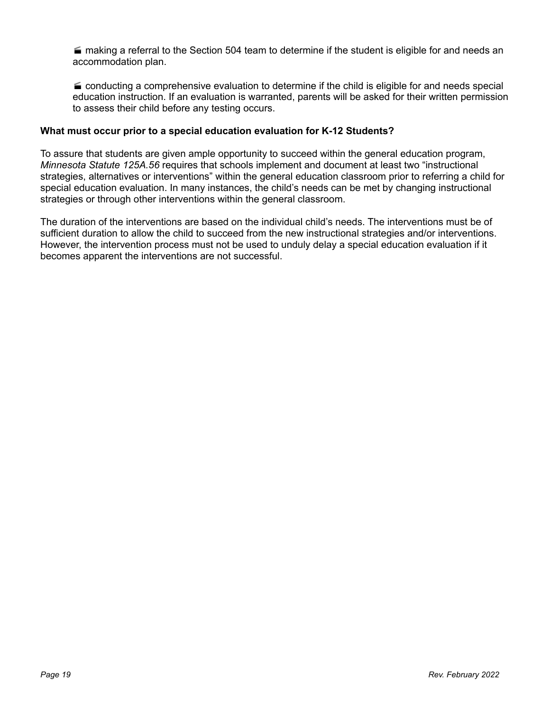$\blacksquare$  making a referral to the Section 504 team to determine if the student is eligible for and needs an accommodation plan.

 $\blacktriangle$  conducting a comprehensive evaluation to determine if the child is eligible for and needs special education instruction. If an evaluation is warranted, parents will be asked for their written permission to assess their child before any testing occurs.

#### **What must occur prior to a special education evaluation for K-12 Students?**

To assure that students are given ample opportunity to succeed within the general education program, *Minnesota Statute 125A.56* requires that schools implement and document at least two "instructional strategies, alternatives or interventions" within the general education classroom prior to referring a child for special education evaluation. In many instances, the child's needs can be met by changing instructional strategies or through other interventions within the general classroom.

The duration of the interventions are based on the individual child's needs. The interventions must be of sufficient duration to allow the child to succeed from the new instructional strategies and/or interventions. However, the intervention process must not be used to unduly delay a special education evaluation if it becomes apparent the interventions are not successful.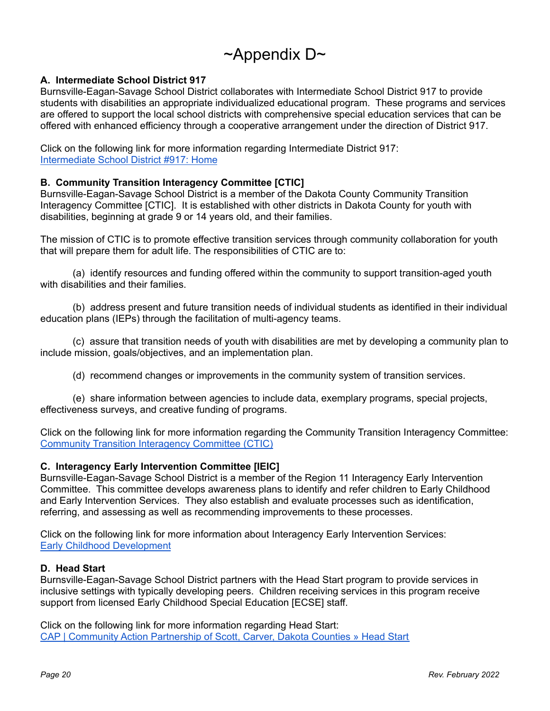# $\sim$ Appendix D $\sim$

#### **A. Intermediate School District 917**

Burnsville-Eagan-Savage School District collaborates with Intermediate School District 917 to provide students with disabilities an appropriate individualized educational program. These programs and services are offered to support the local school districts with comprehensive special education services that can be offered with enhanced efficiency through a cooperative arrangement under the direction of District 917.

Click on the following link for more information regarding Intermediate District 917: [Intermediate](http://www.isd917.k12.mn.us/home) School District #917: Home

#### **B. Community Transition Interagency Committee [CTIC]**

Burnsville-Eagan-Savage School District is a member of the Dakota County Community Transition Interagency Committee [CTIC]. It is established with other districts in Dakota County for youth with disabilities, beginning at grade 9 or 14 years old, and their families.

The mission of CTIC is to promote effective transition services through community collaboration for youth that will prepare them for adult life. The responsibilities of CTIC are to:

(a) identify resources and funding offered within the community to support transition-aged youth with disabilities and their families.

(b) address present and future transition needs of individual students as identified in their individual education plans (IEPs) through the facilitation of multi-agency teams.

(c) assure that transition needs of youth with disabilities are met by developing a community plan to include mission, goals/objectives, and an implementation plan.

(d) recommend changes or improvements in the community system of transition services.

(e) share information between agencies to include data, exemplary programs, special projects, effectiveness surveys, and creative funding of programs.

Click on the following link for more information regarding the Community Transition Interagency Committee: Community Transition [Interagency](http://www.isd917.k12.mn.us/for_parents/community_transition_interagency_committee__ctic_) Committee (CTIC)

#### **C. Interagency Early Intervention Committee [IEIC]**

Burnsville-Eagan-Savage School District is a member of the Region 11 Interagency Early Intervention Committee. This committee develops awareness plans to identify and refer children to Early Childhood and Early Intervention Services. They also establish and evaluate processes such as identification, referring, and assessing as well as recommending improvements to these processes.

Click on the following link for more information about Interagency Early Intervention Services: Early Childhood [Development](https://www.co.dakota.mn.us/HealthFamily/Parenting/EarlyChildhoodDevelopment/Pages/help-me-grow.aspx)

#### **D. Head Start**

Burnsville-Eagan-Savage School District partners with the Head Start program to provide services in inclusive settings with typically developing peers. Children receiving services in this program receive support from licensed Early Childhood Special Education [ECSE] staff.

Click on the following link for more information regarding Head Start: CAP | Community Action [Partnership](https://www.capagency.org/head-start/) of Scott, Carver, Dakota Counties » Head Start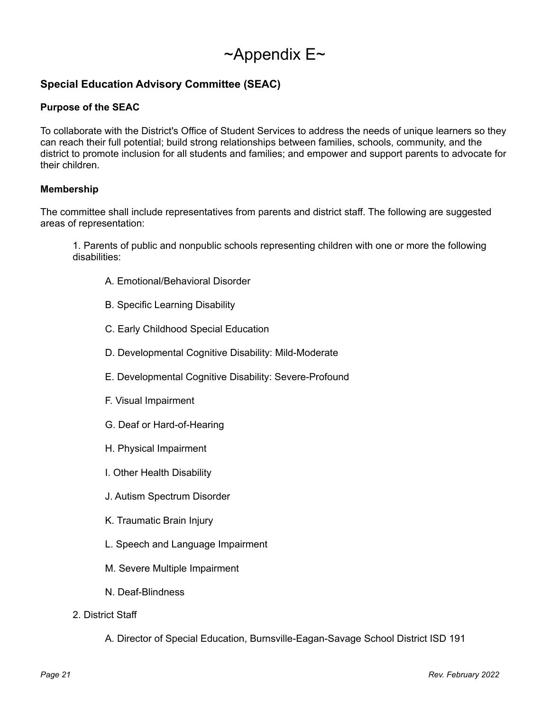# $\sim$ Appendix E $\sim$

### **Special Education Advisory Committee (SEAC)**

#### **Purpose of the SEAC**

To collaborate with the District's Office of Student Services to address the needs of unique learners so they can reach their full potential; build strong relationships between families, schools, community, and the district to promote inclusion for all students and families; and empower and support parents to advocate for their children.

#### **Membership**

The committee shall include representatives from parents and district staff. The following are suggested areas of representation:

1. Parents of public and nonpublic schools representing children with one or more the following disabilities:

- A. Emotional/Behavioral Disorder
- B. Specific Learning Disability
- C. Early Childhood Special Education
- D. Developmental Cognitive Disability: Mild-Moderate
- E. Developmental Cognitive Disability: Severe-Profound
- F. Visual Impairment
- G. Deaf or Hard-of-Hearing
- H. Physical Impairment
- I. Other Health Disability
- J. Autism Spectrum Disorder
- K. Traumatic Brain Injury
- L. Speech and Language Impairment
- M. Severe Multiple Impairment
- N. Deaf-Blindness
- 2. District Staff
	- A. Director of Special Education, Burnsville-Eagan-Savage School District ISD 191